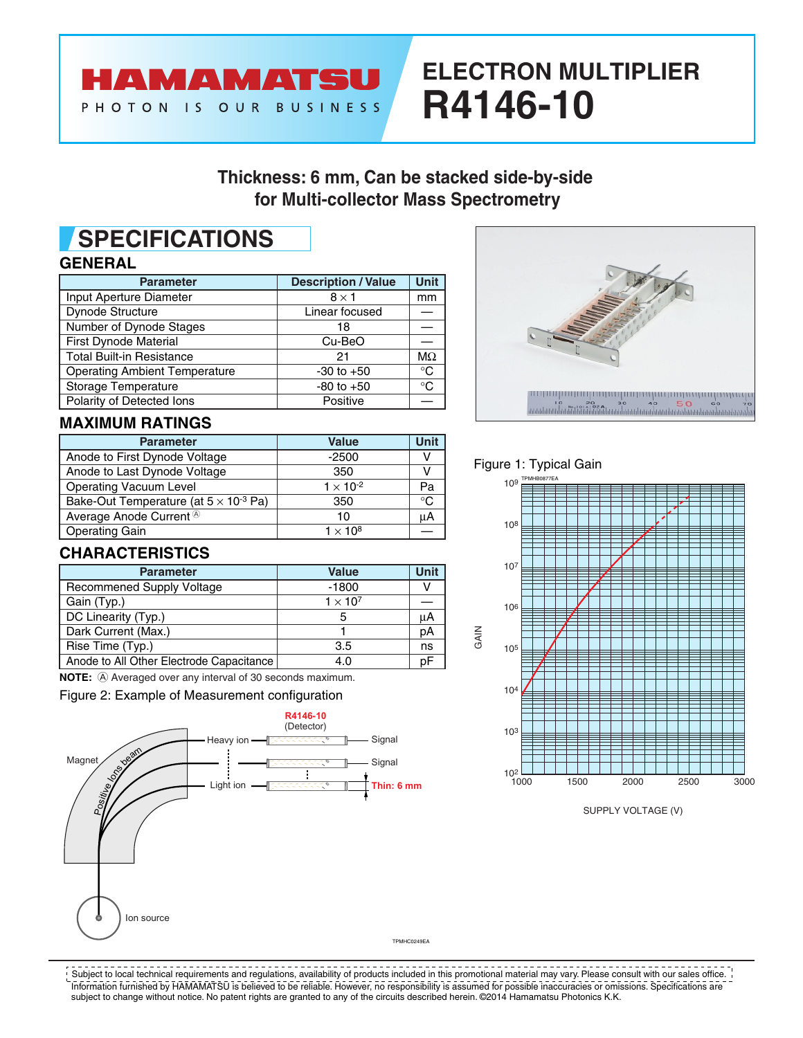

# **ELECTRON MULTIPLIER R4146-10**

# **Thickness: 6 mm, Can be stacked side-by-side for Multi-collector Mass Spectrometry**

# **SPECIFICATIONS**

### **GENERAL**

| <b>Parameter</b>                     | <b>Description / Value</b> | <b>Unit</b> |
|--------------------------------------|----------------------------|-------------|
| Input Aperture Diameter              | $8 \times 1$               | mm          |
| Dynode Structure                     | Linear focused             |             |
| Number of Dynode Stages              | 18                         |             |
| <b>First Dynode Material</b>         | Cu-BeO                     |             |
| <b>Total Built-in Resistance</b>     | 21                         | $M\Omega$   |
| <b>Operating Ambient Temperature</b> | $-30$ to $+50$             | ℃           |
| Storage Temperature                  | $-80$ to $+50$             | °C          |
| Polarity of Detected Ions            | Positive                   |             |

# $\begin{picture}(100,100) \put(0,0){\vector(1,0){100}} \put(10,0){\vector(1,0){100}} \put(10,0){\vector(1,0){100}} \put(10,0){\vector(1,0){100}} \put(10,0){\vector(1,0){100}} \put(10,0){\vector(1,0){100}} \put(10,0){\vector(1,0){100}} \put(10,0){\vector(1,0){100}} \put(10,0){\vector(1,0){100}} \put(10,0){\vector(1,0){100}} \put(10,0){\vector(1,0){100$

### **MAXIMUM RATINGS**

| <b>Parameter</b>                                | <b>Value</b>       | Unit         |
|-------------------------------------------------|--------------------|--------------|
| Anode to First Dynode Voltage                   | $-2500$            |              |
| Anode to Last Dynode Voltage                    | 350                |              |
| Operating Vacuum Level                          | $1 \times 10^{-2}$ | Pa           |
| Bake-Out Temperature (at $5 \times 10^{-3}$ Pa) | 350                | $^{\circ}$ C |
| Average Anode Current <sup>®</sup>              | 10                 | μA           |
| <b>Operating Gain</b>                           | $1 \times 10^8$    |              |

### Figure 1: Typical Gain

GAIN



SUPPLY VOLTAGE (V)

## **CHARACTERISTICS**

| <b>Parameter</b>                         | <b>Value</b>    | Unit |
|------------------------------------------|-----------------|------|
| <b>Recommened Supply Voltage</b>         | $-1800$         |      |
| Gain (Typ.)                              | $1 \times 10^7$ |      |
| DC Linearity (Typ.)                      | 5               | μA   |
| Dark Current (Max.)                      |                 | рA   |
| Rise Time (Typ.)                         | 3.5             | ns   |
| Anode to All Other Electrode Capacitance | 4.0             | nF   |

**NOTE:**  $\widehat{A}$  Averaged over any interval of 30 seconds maximum.

Figure 2: Example of Measurement configuration



Information furnished by HAMAMATSU is believed to be reliable. However, no responsibility is assumed for possible inaccuracies or omissions. Specifications are subject to change without notice. No patent rights are granted to any of the circuits described herein. ©2014 Hamamatsu Photonics K.K.  $!$  Subject to local technical requirements and regulations, availability of products included in this promotional material may vary. Please consult with our sales office.  $\,$